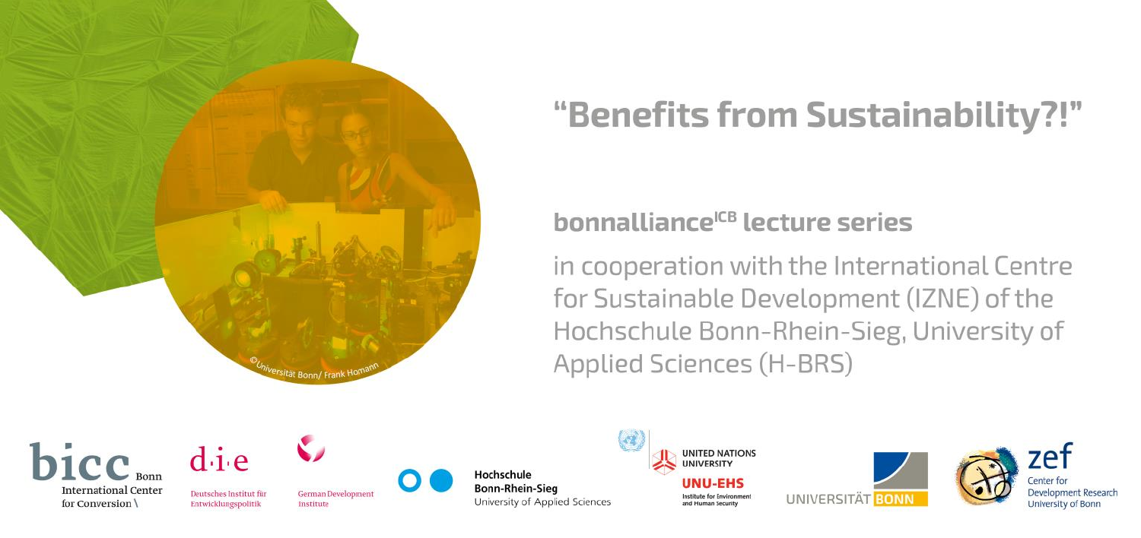

# "Benefits from Sustainability?!"

### bonnalliance<sup>ICB</sup> lecture series

in cooperation with the International Centre for Sustainable Development (IZNE) of the Hochschule Bonn-Rhein-Sieg, University of **Applied Sciences (H-BRS)** 

bicc<sub>Bonr</sub> **International Center** for Conversion



Deutsches Institut für

Entwicklungspolitik

German Development **Institute** 

Hochschule **Bonn-Rhein-Sieg** University of Applied Sciences **UNITED NATIONS UNIVERSITY INILEHS** 

netituta for Environment and Human Security





Development Research University of Bonr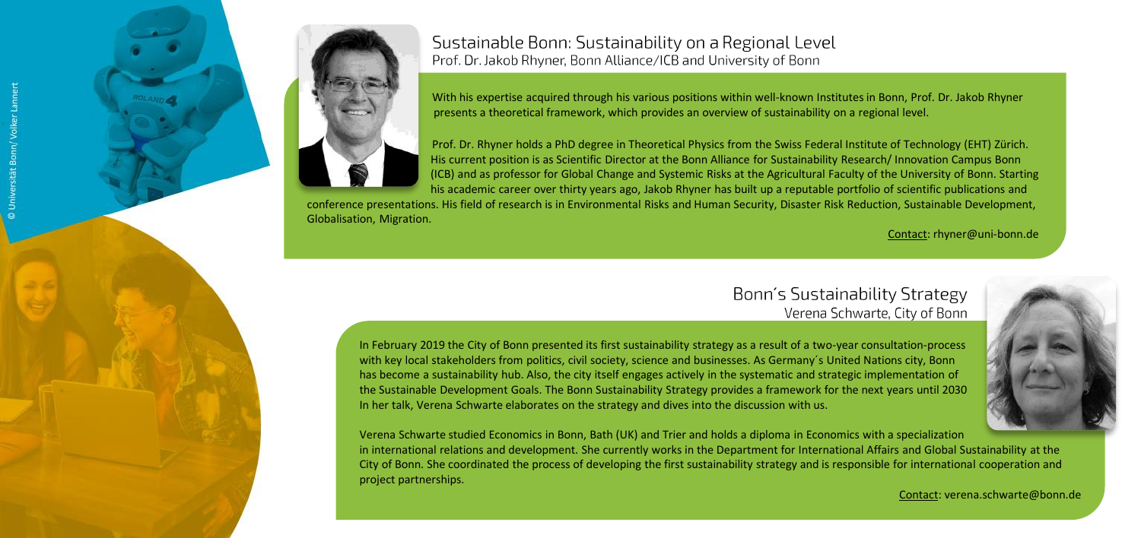

Sustainable Bonn: Sustainability on a Regional Level Prof. Dr. Jakob Rhyner, Bonn Alliance/ICB and University of Bonn

With his expertise acquired through his various positions within well-known Institutes in Bonn, Prof. Dr. Jakob Rhyner presents a theoretical framework, which provides an overview of sustainability on a regional level.

Prof. Dr. Rhyner holds a PhD degree in Theoretical Physics from the Swiss Federal Institute of Technology (EHT) Zürich. His current position is as Scientific Director at the Bonn Alliance for Sustainability Research/ Innovation Campus Bonn (ICB) and as professor for Global Change and Systemic Risks at the Agricultural Faculty of the University of Bonn. Starting his academic career over thirty years ago, Jakob Rhyner has built up a reputable portfolio of scientific publications and

conference presentations. His field of research is in Environmental Risks and Human Security, Disaster Risk Reduction, Sustainable Development, Globalisation, Migration.

Contact: rhyner@uni-bonn.de

#### Bonn's Sustainability Strategy Verena Schwarte, City of Bonn

In February 2019 the City of Bonn presented its first sustainability strategy as a result of a two-year consultation-process with key local stakeholders from politics, civil society, science and businesses. As Germany´s United Nations city, Bonn has become a sustainability hub. Also, the city itself engages actively in the systematic and strategic implementation of the Sustainable Development Goals. The Bonn Sustainability Strategy provides a framework for the next years until 2030 In her talk, Verena Schwarte elaborates on the strategy and dives into the discussion with us.

Verena Schwarte studied Economics in Bonn, Bath (UK) and Trier and holds a diploma in Economics with a specialization in international relations and development. She currently works in the Department for International Affairs and Global Sustainability at the City of Bonn. She coordinated the process of developing the first sustainability strategy and is responsible for international cooperation and project partnerships.



Contact: verena.schwarte@bonn.de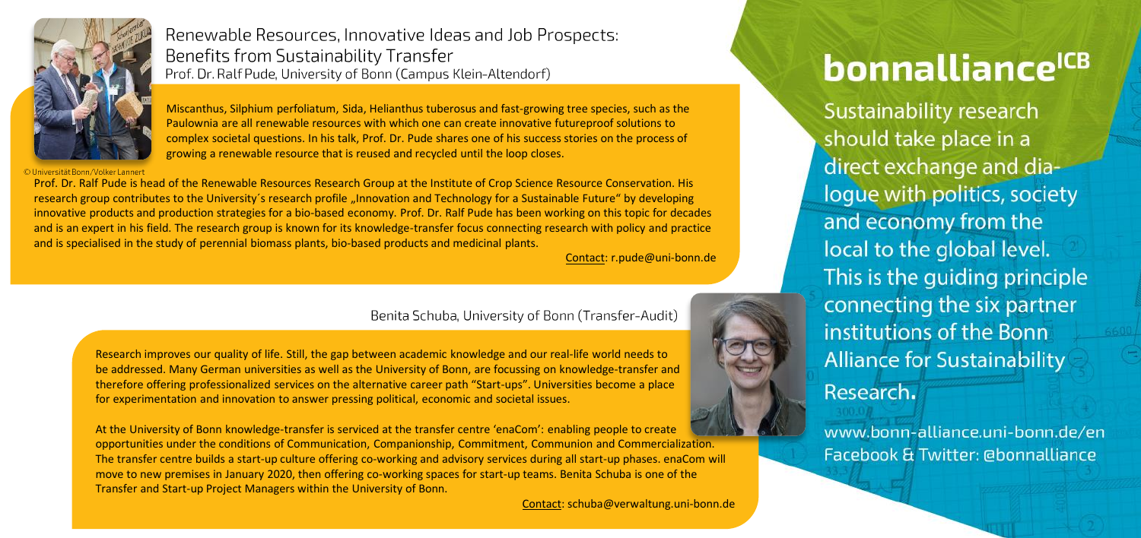

© Universität Bonn / Volker Lannert

Renewable Resources, Innovative Ideas and Job Prospects: Benefits from Sustainability Transfer Prof. Dr. Ralf Pude, University of Bonn (Campus Klein-Altendorf)

Miscanthus, Silphium perfoliatum, Sida, Helianthus tuberosus and fast-growing tree species, such as the

Paulownia are all renewable resources with which one can create innovative futureproof solutions to complex societal questions. In his talk, Prof. Dr. Pude shares one of his success stories on the process of growing a renewable resource that is reused and recycled until the loop closes.

Prof. Dr. Ralf Pude is head of the Renewable Resources Research Group at the Institute of Crop Science Resource Conservation. His research group contributes to the University's research profile "Innovation and Technology for a Sustainable Future" by developing innovative products and production strategies for a bio-based economy. Prof. Dr. Ralf Pude has been working on this topic for decades and is an expert in his field. The research group is known for its knowledge-transfer focus connecting research with policy and practice and is specialised in the study of perennial biomass plants, bio-based products and medicinal plants.

Contact: r.pude@uni-bonn.de

#### Benita Schuba, University of Bonn (Transfer-Audit)

Research improves our quality of life. Still, the gap between academic knowledge and our real-life world needs to be addressed. Many German universities as well as the University of Bonn, are focussing on knowledge-transfer and therefore offering professionalized services on the alternative career path "Start-ups". Universities become a place for experimentation and innovation to answer pressing political, economic and societal issues.

At the University of Bonn knowledge-transfer is serviced at the transfer centre 'enaCom': enabling people to create opportunities under the conditions of Communication, Companionship, Commitment, Communion and Commercialization. The transfer centre builds a start-up culture offering co-working and advisory services during all start-up phases. enaCom will move to new premises in January 2020, then offering co-working spaces for start-up teams. Benita Schuba is one of the Transfer and Start-up Project Managers within the University of Bonn.

Contact: schuba@verwaltung.uni-bonn.de

### bonnalliance<sup>ICB</sup>

Sustainability research should take place in a direct exchange and dialoque with politics, society and economy from the local to the global level. This is the quiding principle connecting the six partner institutions of the Bonn **Alliance for Sustainability** Research.

www.bonn-alliance.uni-bonn.de/en Facebook & Twitter: @bonnalliance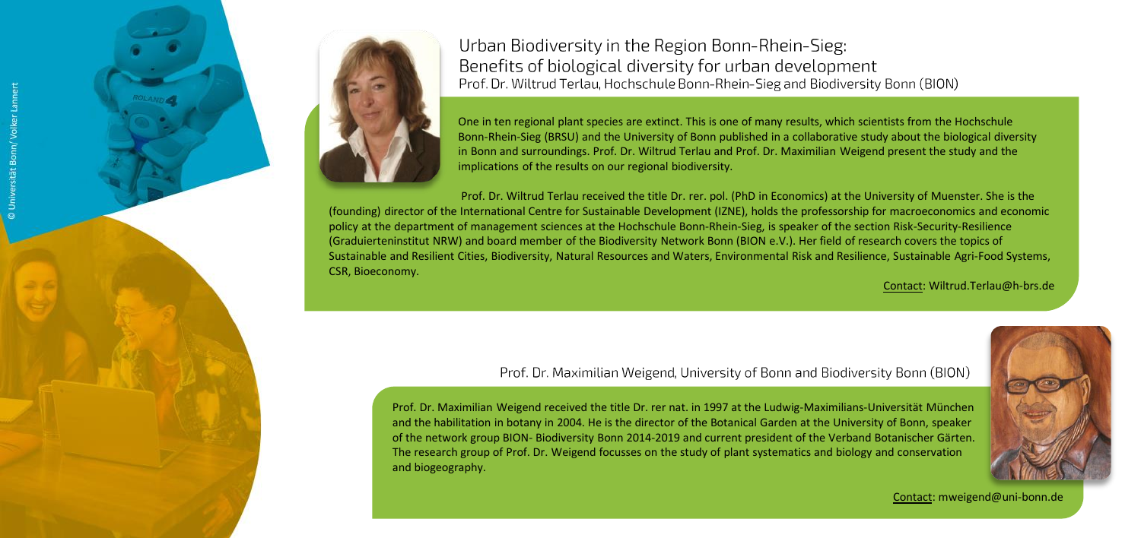



Urban Biodiversity in the Region Bonn-Rhein-Sieg: Benefits of biological diversity for urban development Prof. Dr. Wiltrud Terlau, Hochschule Bonn-Rhein-Sieg and Biodiversity Bonn (BION)

One in ten regional plant species are extinct. This is one of many results, which scientists from the Hochschule Bonn-Rhein-Sieg (BRSU) and the University of Bonn published in a collaborative study about the biological diversity in Bonn and surroundings. Prof. Dr. Wiltrud Terlau and Prof. Dr. Maximilian Weigend present the study and the implications of the results on our regional biodiversity.

Prof. Dr. Wiltrud Terlau received the title Dr. rer. pol. (PhD in Economics) at the University of Muenster. She is the (founding) director of the International Centre for Sustainable Development (IZNE), holds the professorship for macroeconomics and economic policy at the department of management sciences at the Hochschule Bonn-Rhein-Sieg, is speaker of the section Risk-Security-Resilience (Graduierteninstitut NRW) and board member of the Biodiversity Network Bonn (BION e.V.). Her field of research covers the topics of Sustainable and Resilient Cities, Biodiversity, Natural Resources and Waters, Environmental Risk and Resilience, Sustainable Agri-Food Systems, CSR, Bioeconomy.

Contact: Wiltrud.Terlau@h-brs.de

Prof. Dr. Maximilian Weigend. University of Bonn and Biodiversity Bonn (BION)

Prof. Dr. Maximilian Weigend received the title Dr. rer nat. in 1997 at the Ludwig-Maximilians-Universität München and the habilitation in botany in 2004. He is the director of the Botanical Garden at the University of Bonn, speaker of the network group BION- Biodiversity Bonn 2014-2019 and current president of the Verband Botanischer Gärten. The research group of Prof. Dr. Weigend focusses on the study of plant systematics and biology and conservation and biogeography.



Contact: mweigend@uni-bonn.de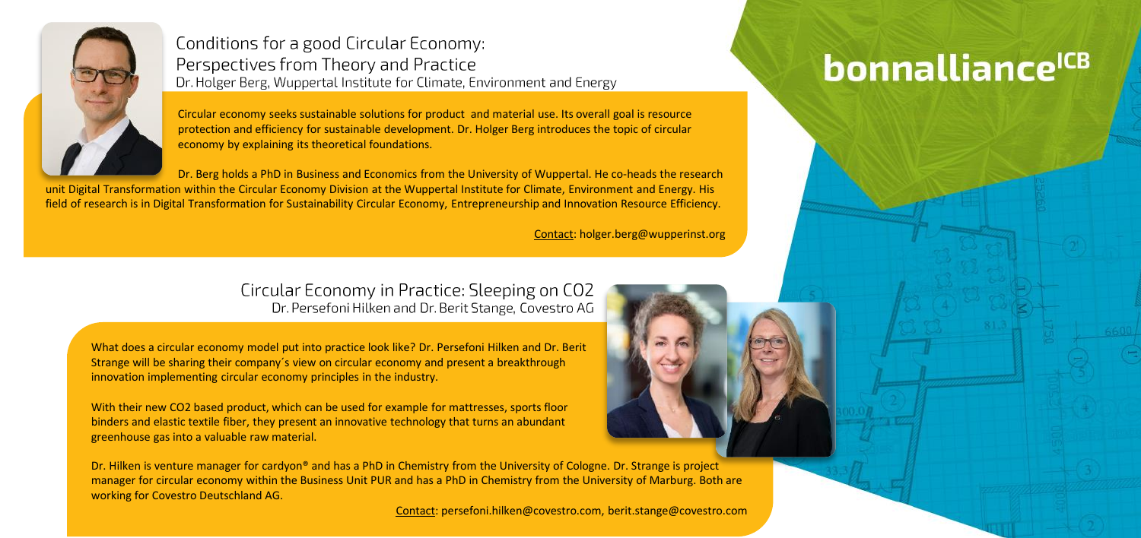

Conditions for a good Circular Economy: Perspectives from Theory and Practice Dr. Holger Berg, Wuppertal Institute for Climate, Environment and Energy

Circular economy seeks sustainable solutions for product and material use. Its overall goal is resource protection and efficiency for sustainable development. Dr. Holger Berg introduces the topic of circular economy by explaining its theoretical foundations.

Dr. Berg holds a PhD in Business and Economics from the University of Wuppertal. He co-heads the research unit Digital Transformation within the Circular Economy Division at the Wuppertal Institute for Climate, Environment and Energy. His

field of research is in Digital Transformation for Sustainability Circular Economy, Entrepreneurship and Innovation Resource Efficiency.

Contact: holger.berg@wupperinst.org

#### Circular Economy in Practice: Sleeping on CO2 Dr. Persefoni Hilken and Dr. Berit Stange, Covestro AG

What does a circular economy model put into practice look like? Dr. Persefoni Hilken and Dr. Berit Strange will be sharing their company´s view on circular economy and present a breakthrough innovation implementing circular economy principles in the industry.

With their new CO2 based product, which can be used for example for mattresses, sports floor binders and elastic textile fiber, they present an innovative technology that turns an abundant greenhouse gas into a valuable raw material.

Dr. Hilken is venture manager for cardyon® and has a PhD in Chemistry from the University of Cologne. Dr. Strange is project manager for circular economy within the Business Unit PUR and has a PhD in Chemistry from the University of Marburg. Both are working for Covestro Deutschland AG.

Contact: persefoni.hilken@covestro.com, berit.stange@covestro.com

## bonnalliance<sup>ICB</sup>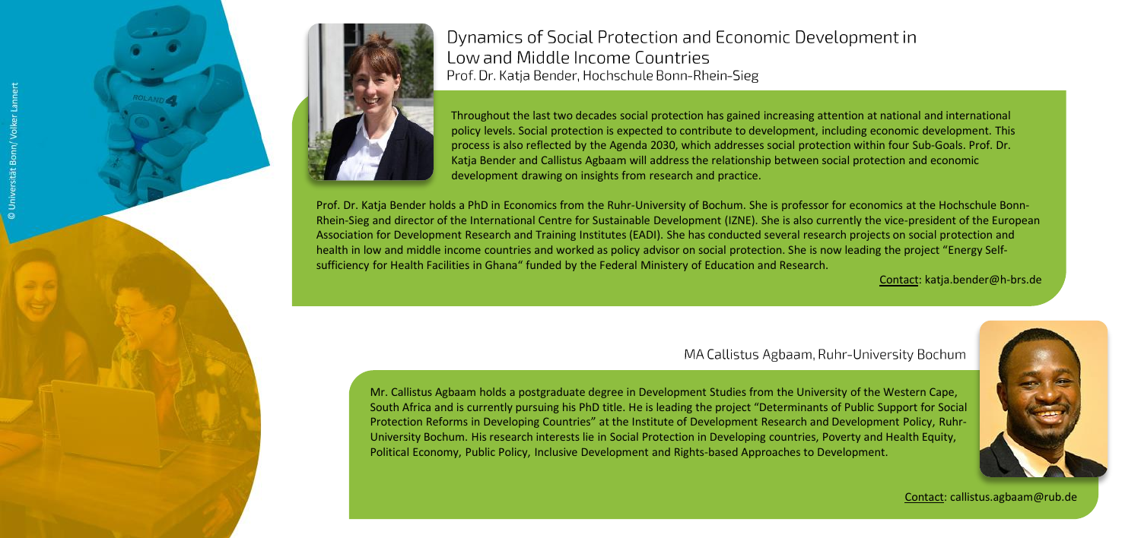



Dynamics of Social Protection and Economic Development in Low and Middle Income Countries Prof. Dr. Katia Bender, Hochschule Bonn-Rhein-Sieg

Throughout the last two decades social protection has gained increasing attention at national and international policy levels. Social protection is expected to contribute to development, including economic development. This process is also reflected by the Agenda 2030, which addresses social protection within four Sub-Goals. Prof. Dr. Katja Bender and Callistus Agbaam will address the relationship between social protection and economic development drawing on insights from research and practice.

Prof. Dr. Katja Bender holds a PhD in Economics from the Ruhr-University of Bochum. She is professor for economics at the Hochschule Bonn-Rhein-Sieg and director of the International Centre for Sustainable Development (IZNE). She is also currently the vice-president of the European Association for Development Research and Training Institutes (EADI). She has conducted several research projects on social protection and health in low and middle income countries and worked as policy advisor on social protection. She is now leading the project "Energy Selfsufficiency for Health Facilities in Ghana" funded by the Federal Ministery of Education and Research.

Contact: katja.bender@h-brs.de

#### MA Callistus Agbaam, Ruhr-University Bochum

Mr. Callistus Agbaam holds a postgraduate degree in Development Studies from the University of the Western Cape, South Africa and is currently pursuing his PhD title. He is leading the project "Determinants of Public Support for Social Protection Reforms in Developing Countries" at the Institute of Development Research and Development Policy, Ruhr-University Bochum. His research interests lie in Social Protection in Developing countries, Poverty and Health Equity, Political Economy, Public Policy, Inclusive Development and Rights-based Approaches to Development.



Contact: callistus.agbaam@rub.de